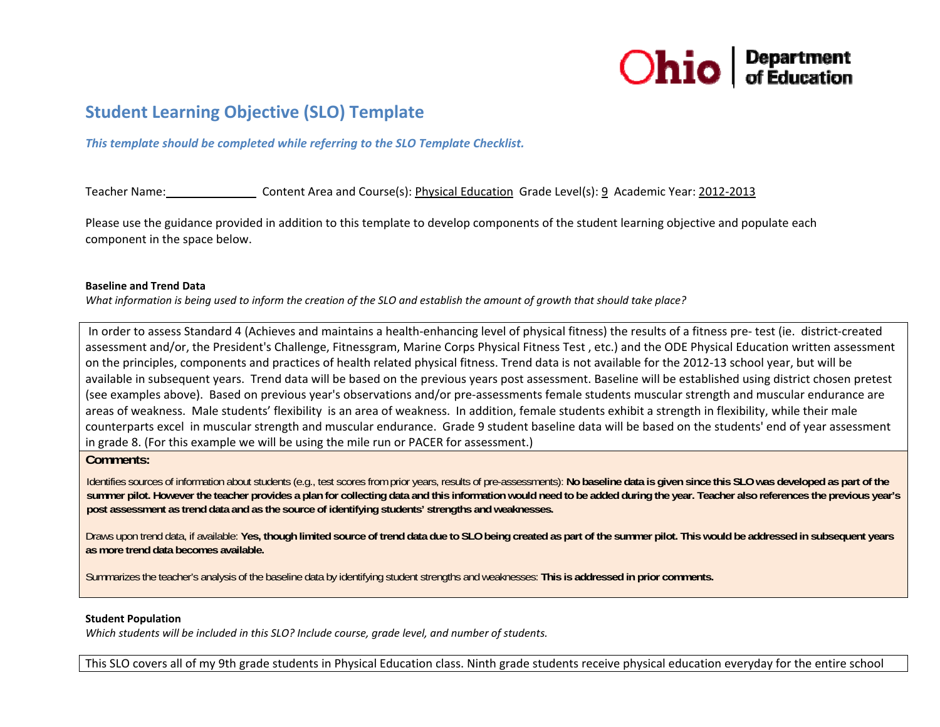

# **Student Learning Objective (SLO) Template**

*This template should be completed while referring to the SLO Template Checklist.*

Teacher Name: Content Areaa and Course(s): Physical Education Grade Level(s): <u>9</u> Academic Year: 2012-2013

Please use the guidance provided in addition to this template to develop components of the student learning objective and populate each component in the space below.

#### **Baseline and Trend Data**

What information is being used to inform the creation of the SLO and establish the amount of growth that should take place?

In order to assess Standard 4 (Achieves and maintains <sup>a</sup> health‐enhancing level of physical fitness) the results of <sup>a</sup> fitness pre‐ test (ie. district‐created assessment and/or, the President's Challenge, Fitnessgram, Marine Corps Physical Fitness Test , etc.) and the ODE Physical Education written assessment on the principles, components and practices of health related physical fitness. Trend data is not available for the 2012‐13 school year, but will be available in subsequent years. Trend data will be based on the previous years post assessment. Baseline will be established using district chosen pretest (see examples above). Based on previous year's observations and/or pre‐assessments female students muscular strength and muscular endurance are areas of weakness. Male students' flexibility is an area of weakness. In addition, female students exhibit <sup>a</sup> strength in flexibility, while their male counterparts excel in muscular strength and muscular endurance. Grade 9 student baseline data will be based on the students' end of year assessment in grade 8. (For this example we will be using the mile run or PACER for assessment.)

#### **Comments:**

Identifies sources of information about students (e.g., test scores from prior years, results of pre-assessments): No baseline data is given since this SLO was developed as part of the summer pilot. However the teacher provides a plan for collecting data and this information would need to be added during the year. Teacher also references the previous year's **post assessment as trend data and as the source of identifying students' strengths and weaknesses.** 

Draws upon trend data, if available: Yes, though limited source of trend data due to SLO being created as part of the summer pilot. This would be addressed in subsequent years **as more trend data becomes available.** 

Summarizes the teacher's analysis of the baseline data by identifying student strengths and weaknesses: **This is addressed in prior comments.** 

#### **Student Population**

*Which students will be included in this SLO? Include course, grade level, and number of students.*

This SLO covers all of my 9th grade students in Physical Education class. Ninth grade students receive physical education everyday for the entire school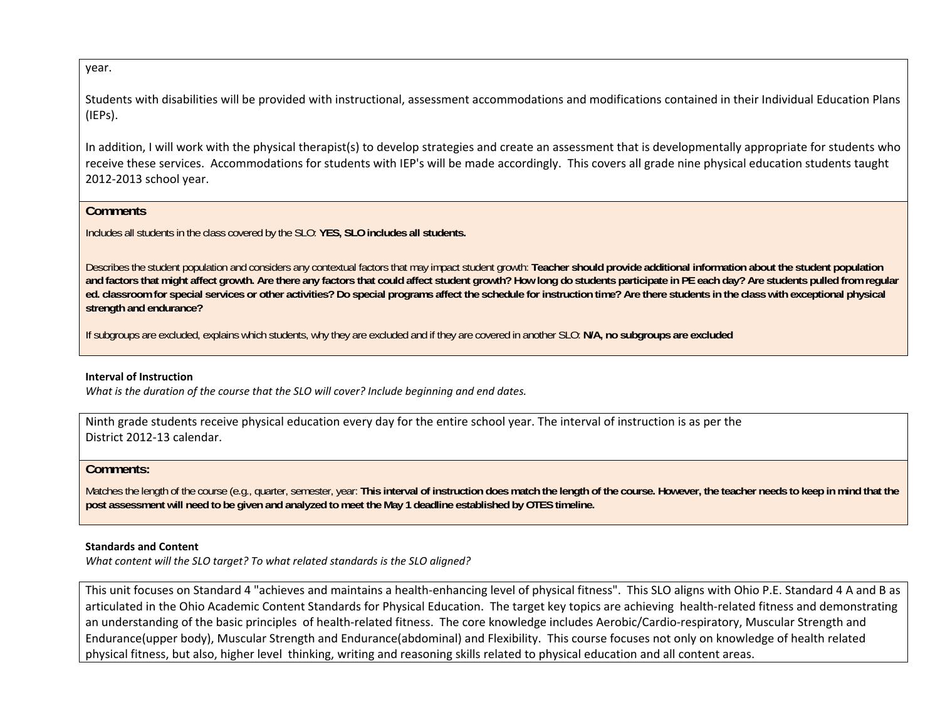year.

Students with disabilities will be provided with instructional, assessment accommodations and modifications contained in their Individual Education Plans (IEPs).

In addition, I will work with the physical therapist(s) to develop strategies and create an assessment that is developmentally appropriate for students who receive these services. Accommodations for students with IEP's will be made accordingly. This covers all grade nine physical education students taught 2012‐2013 school year.

## **Comments**

Includes all students in the class covered by the SLO: **YES, SLO includes all students.**

Describes the student population and considers any contextual factors that may impact student growth: **Teacher should provide additional information about the student population and factors that might affect growth. Are there any factors that could affect student growth? How long do students participate in PE each day? Are students pulled from regular ed. classroom for special services or other activities? Do special programs affect the schedule for instruction time? Are there students in the class with exceptional physical strength and endurance?** 

If subgroups are excluded, explains which students, why they are excluded and if they are covered in another SLO: **N/A, no subgroups are excluded**

### **Interval of Instruction**

*What is the duration of the course that the SLO will cover? Include beginning and end dates.*

Ninth grade students receive physical education every day for the entire school year. The interval of instruction is as per the District 2012‐13 calendar.

# **Comments:**

Matches the length of the course (e.g., quarter, semester, year: This interval of instruction does match the length of the course. However, the teacher needs to keep in mind that the **post assessment will need to be given and analyzed to meet the May 1 deadline established by OTES timeline.** 

### **Standards and Content**

*What content will the SLO target? To what related standards is the SLO aligned?*

This unit focuses on Standard 4 "achieves and maintains <sup>a</sup> health‐enhancing level of physical fitness". This SLO aligns with Ohio P.E. Standard 4 A and B as articulated in the Ohio Academic Content Standards for Physical Education. The target key topics are achieving health‐related fitness and demonstrating an understanding of the basic principles of health‐related fitness. The core knowledge includes Aerobic/Cardio‐respiratory, Muscular Strength and Endurance(upper body), Muscular Strength and Endurance(abdominal) and Flexibility. This course focuses not only on knowledge of health related physical fitness, but also, higher level thinking, writing and reasoning skills related to physical education and all content areas.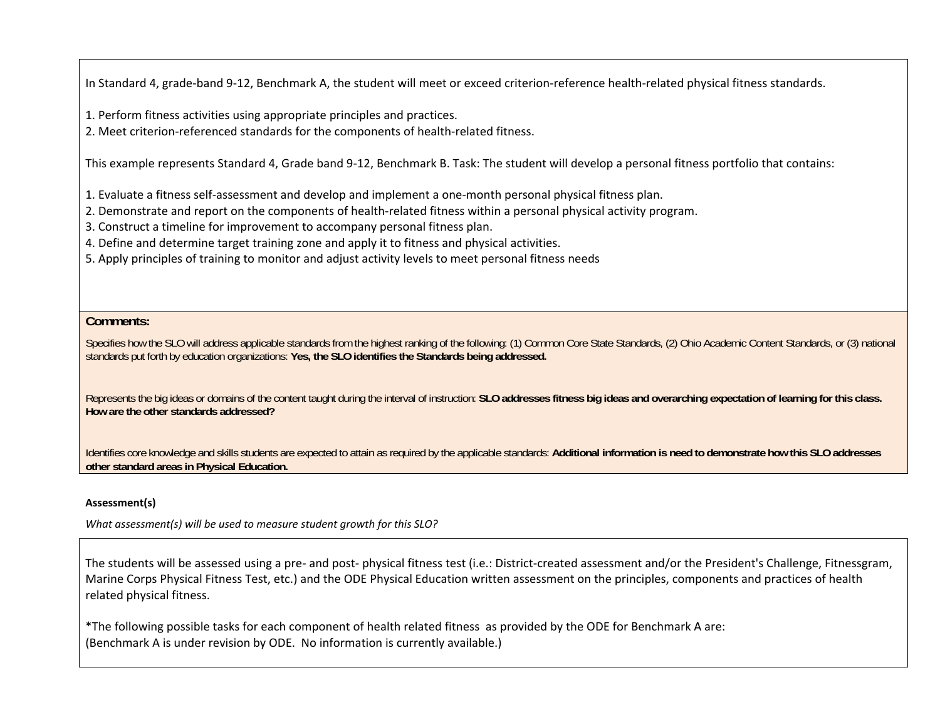In Standard 4, grade‐band 9‐12, Benchmark A, the student will meet or exceed criterion‐reference health‐related physical fitness standards.

1. Perform fitness activities using appropriate principles and practices.

2. Meet criterion‐referenced standards for the components of health‐related fitness.

This example represents Standard 4, Grade band 9‐12, Benchmark B. Task: The student will develop <sup>a</sup> personal fitness portfolio that contains:

1. Evaluate <sup>a</sup> fitness self‐assessment and develop and implement <sup>a</sup> one‐month personal physical fitness plan.

- 2. Demonstrate and report on the components of health‐related fitness within <sup>a</sup> personal physical activity program.
- 3. Construct a timeline for improvement to accompany personal fitness plan.
- 4. Define and determine target training zone and apply it to fitness and physical activities.
- 5. Apply principles of training to monitor and adjust activity levels to meet personal fitness needs

### **Comments:**

Specifies how the SLO will address applicable standards from the highest ranking of the following: (1) Common Core State Standards, (2) Ohio Academic Content Standards, or (3) national standards put forth by education organizations: **Yes, the SLO identifies the Standards being addressed.** 

Represents the big ideas or domains of the content taught during the interval of instruction: **SLO addresses fitness big ideas and overarching expectation of learning for this class. How are the other standards addressed?** 

Identifies core knowledge and skills students are expected to attain as required by the applicable standards: **Additional information is need to demonstrate how this SLO addresses other standard areas in Physical Education.**

### **Assessment(s)**

*What assessment(s) will be used to measure student growth for this SLO?*

The students will be assessed using <sup>a</sup> pre‐ and post‐ physical fitness test (i.e.: District‐created assessment and/or the President's Challenge, Fitnessgram, Marine Corps Physical Fitness Test, etc.) and the ODE Physical Education written assessment on the principles, components and practices of health related physical fitness.

\*The following possible tasks for each component of health related fitness as provided by the ODE for Benchmark A are: (Benchmark A is under revision by ODE. No information is currently available.)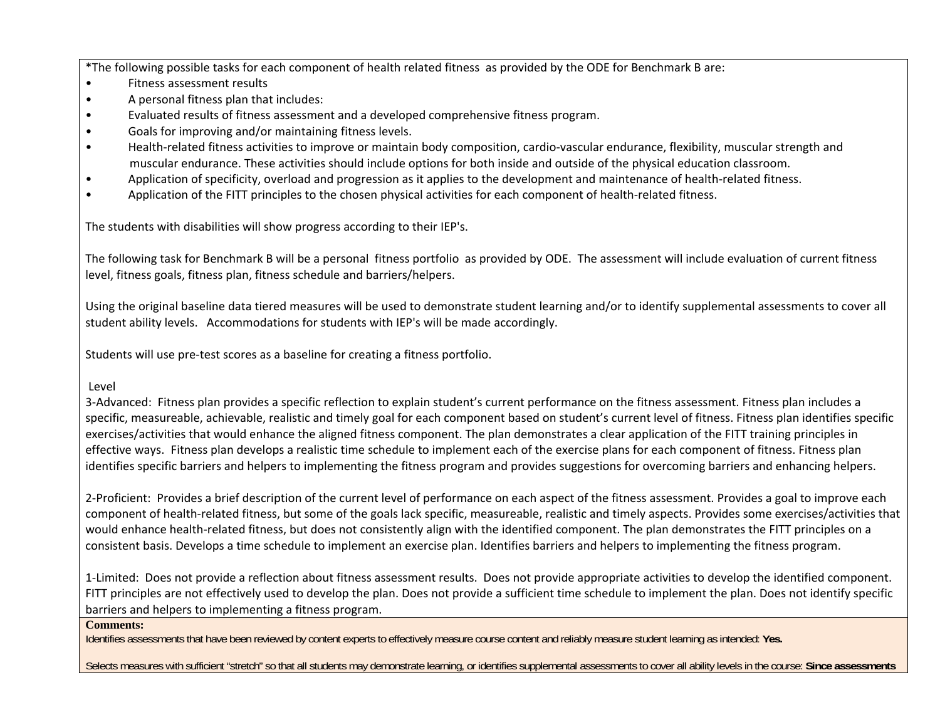\*The following possible tasks for each component of health related fitness as provided by the ODE for Benchmark B are:

- •Fitness assessment results
- •A personal fitness plan that includes:
- •Evaluated results of fitness assessment and <sup>a</sup> developed comprehensive fitness program.
- •Goals for improving and/or maintaining fitness levels.
- •● Health-related fitness activities to improve or maintain body composition, cardio-vascular endurance, flexibility, muscular strength and muscular endurance. These activities should include options for both inside and outside of the physical education classroom.
- •Application of specificity, overload and progression as it applies to the development and maintenance of health-related fitness.
- •Application of the FITT principles to the chosen physical activities for each component of health‐related fitness.

The students with disabilities will show progress according to their IEP's.

The following task for Benchmark B will be <sup>a</sup> personal fitness portfolio as provided by ODE. The assessment will include evaluation of current fitness level, fitness goals, fitness plan, fitness schedule and barriers/helpers.

Using the original baseline data tiered measures will be used to demonstrate student learning and/or to identify supplemental assessments to cover all student ability levels. Accommodations for students with IEP's will be made accordingly.

Students will use pre‐test scores as <sup>a</sup> baseline for creating <sup>a</sup> fitness portfolio.

# Level

3‐Advanced: Fitness plan provides <sup>a</sup> specific reflection to explain student's current performance on the fitness assessment. Fitness plan includes <sup>a</sup> specific, measureable, achievable, realistic and timely goal for each component based on student's current level of fitness. Fitness plan identifies specific exercises/activities that would enhance the aligned fitness component. The plan demonstrates <sup>a</sup> clear application of the FITT training principles in effective ways. Fitness plan develops <sup>a</sup> realistic time schedule to implement each of the exercise plans for each component of fitness. Fitness plan identifies specific barriers and helpers to implementing the fitness program and provides suggestions for overcoming barriers and enhancing helpers.

2‐Proficient: Provides a brief description of the current level of performance on each aspect of the fitness assessment. Provides <sup>a</sup> goal to improve each component of health-related fitness, but some of the goals lack specific, measureable, realistic and timely aspects. Provides some exercises/activities that would enhance health‐related fitness, but does not consistently align with the identified component. The plan demonstrates the FITT principles on <sup>a</sup> consistent basis. Develops <sup>a</sup> time schedule to implement an exercise plan. Identifies barriers and helpers to implementing the fitness program.

1‐Limited: Does not provide <sup>a</sup> reflection about fitness assessment results. Does not provide appropriate activities to develop the identified component. FITT principles are not effectively used to develop the plan. Does not provide <sup>a</sup> sufficient time schedule to implement the plan. Does not identify specific barriers and helpers to implementing <sup>a</sup> fitness program.

### **Comments:**

Identifies assessments that have been reviewed by content experts to effectively measure course content and reliably measure student learning as intended: **Yes.** 

Selects measures with sufficient "stretch" so that all students may demonstrate learning, or identifies supplemental assessments to cover all ability levels in the course: **Since assessments**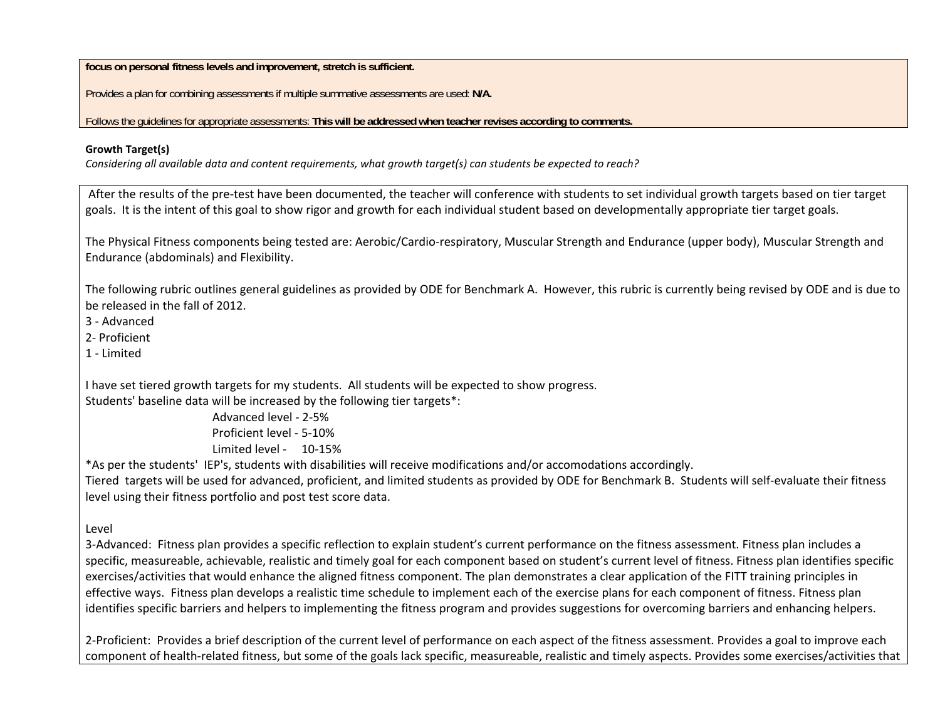**focus on personal fitness levels and improvement, stretch is sufficient.**

Provides a plan for combining assessments if multiple summative assessments are used: **N/A.** 

Follows the guidelines for appropriate assessments: **This will be addressed when teacher revises according to comments.**

## **Growth Target(s)**

Considering all available data and content requirements, what growth target(s) can students be expected to reach?

After the results of the pre‐test have been documented, the teacher will conference with students to set individual growth targets based on tier target goals. It is the intent of this goal to show rigor and growth for each individual student based on developmentally appropriate tier target goals.

The Physical Fitness components being tested are: Aerobic/Cardio‐respiratory, Muscular Strength and Endurance (upper body), Muscular Strength and Endurance (abdominals) and Flexibility.

The following rubric outlines general guidelines as provided by ODE for Benchmark A. However, this rubric is currently being revised by ODE and is due to be released in the fall of 2012.

3 ‐ Advanced

2‐ Proficient

1 ‐ Limited

I have set tiered growth targets for my students. All students will be expected to show progress. Students' baseline data will be increased by the following tier targets\*:

Advanced level ‐ 2‐5%Proficient level ‐ 5‐10%Limited level ‐ 10‐15%

\*As per the students' IEP's, students with disabilities will receive modifications and/or accomodations accordingly.

Tiered targets will be used for advanced, proficient, and limited students as provided by ODE for Benchmark B. Students will self‐evaluate their fitness level using their fitness portfolio and post test score data.

Level

3‐Advanced: Fitness plan provides <sup>a</sup> specific reflection to explain student's current performance on the fitness assessment. Fitness plan includes <sup>a</sup> specific, measureable, achievable, realistic and timely goal for each component based on student's current level of fitness. Fitness plan identifies specific exercises/activities that would enhance the aligned fitness component. The plan demonstrates <sup>a</sup> clear application of the FITT training principles in effective ways. Fitness plan develops <sup>a</sup> realistic time schedule to implement each of the exercise plans for each component of fitness. Fitness plan identifies specific barriers and helpers to implementing the fitness program and provides suggestions for overcoming barriers and enhancing helpers.

2‐Proficient: Provides a brief description of the current level of performance on each aspect of the fitness assessment. Provides <sup>a</sup> goal to improve each component of health-related fitness, but some of the goals lack specific, measureable, realistic and timely aspects. Provides some exercises/activities that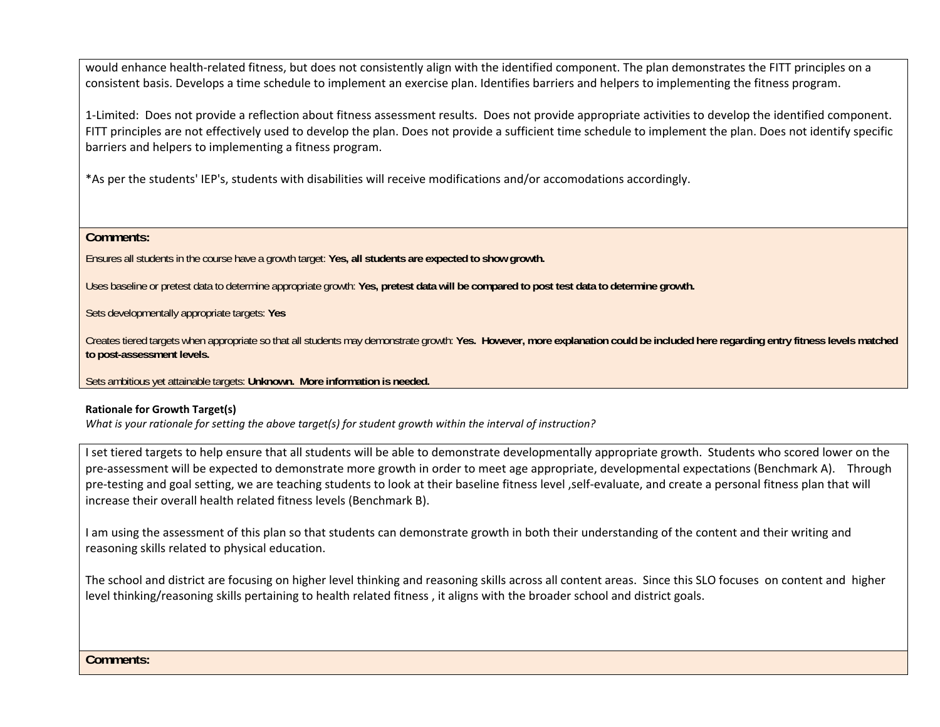would enhance health‐related fitness, but does not consistently align with the identified component. The plan demonstrates the FITT principles on <sup>a</sup> consistent basis. Develops <sup>a</sup> time schedule to implement an exercise plan. Identifies barriers and helpers to implementing the fitness program.

1‐Limited: Does not provide <sup>a</sup> reflection about fitness assessment results. Does not provide appropriate activities to develop the identified component. FITT principles are not effectively used to develop the plan. Does not provide <sup>a</sup> sufficient time schedule to implement the plan. Does not identify specific barriers and helpers to implementing <sup>a</sup> fitness program.

\*As per the students' IEP's, students with disabilities will receive modifications and/or accomodations accordingly.

**Comments:** 

Ensures all students in the course have a growth target: **Yes, all students are expected to show growth.** 

Uses baseline or pretest data to determine appropriate growth: **Yes, pretest data will be compared to post test data to determine growth.** 

Sets developmentally appropriate targets: **Yes** 

Creates tiered targets when appropriate so that all students may demonstrate growth: **Yes. However, more explanation could be included here regarding entry fitness levels matched to post-assessment levels.** 

Sets ambitious yet attainable targets: **Unknown. More information is needed.**

# **Rationale for Growth Target(s)**

What is your rationale for setting the above target(s) for student growth within the interval of instruction?

I set tiered targets to help ensure that all students will be able to demonstrate developmentally appropriate growth. Students who scored lower on the pre-assessment will be expected to demonstrate more growth in order to meet age appropriate, developmental expectations (Benchmark A). Through pre-testing and goal setting, we are teaching students to look at their baseline fitness level, self-evaluate, and create a personal fitness plan that will increase their overall health related fitness levels (Benchmark B).

II am using the assessment of this plan so that students can demonstrate growth in both their understanding of the content and their writing and reasoning skills related to physical education.

The school and district are focusing on higher level thinking and reasoning skills across all content areas. Since this SLO focuses on content and higher level thinking/reasoning skills pertaining to health related fitness , it aligns with the broader school and district goals.

**Comments:**